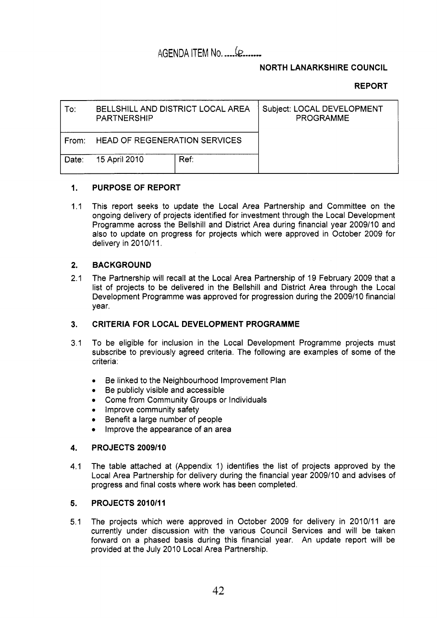## AGENDA ITEM No. .... (**p. ......**

### **NORTH LANARKSHIRE COUNCIL**

### **REPORT**

| To:   | BELLSHILL AND DISTRICT LOCAL AREA<br><b>PARTNERSHIP</b> |      | Subject: LOCAL DEVELOPMENT<br><b>PROGRAMME</b> |
|-------|---------------------------------------------------------|------|------------------------------------------------|
| From: | <b>HEAD OF REGENERATION SERVICES</b>                    |      |                                                |
| Date: | 15 April 2010                                           | Ref: |                                                |

#### **1. PURPOSE OF REPORT**

1.1 This report seeks to update the Local Area Partnership and Committee on the ongoing delivery of projects identified for investment through the Local Development Programme across the Bellshill and District Area during financial year 2009/10 and also to update on progress for projects which were approved in October 2009 for delivery in 2010/11.

#### **2. BACKGROUND**

2.1 The Partnership will recall at the Local Area Partnership of 19 February 2009 that a list of projects to be delivered in the Bellshill and District Area through the Local Development Programme was approved for progression during the 2009/10 financial year.

#### **3. CRITERIA FOR LOCAL DEVELOPMENT PROGRAMME**

- 3.1 To be eligible for inclusion in the Local Development Programme projects must subscribe to previously agreed criteria. The following are examples of some of the criteria:
	- *0*  Be linked to the Neighbourhood Improvement Plan
	- *0*  Be publicly visible and accessible
	- Come from Community Groups or Individuals  $\bullet$
	- *•* Improve community safety
	- Benefit a large number of people
	- Improve the appearance of an area

#### **4. PROJECTS 2009/10**

**4.1**  The table attached at (Appendix 1) identifies the list of projects approved by the Local Area Partnership for delivery during the financial year 2009/10 and advises of progress and final costs where work has been completed.

#### **5. PROJECTS 2010/11**

5.1 The projects which were approved in October 2009 for delivery in 2010/11 are currently under discussion with the various Council Services and will be taken forward on a phased basis during this financial year. An update report will be provided at the July 2010 Local Area Partnership.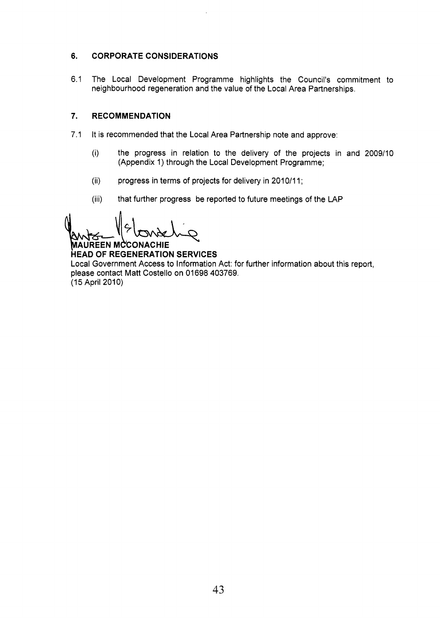#### **6. CORPORATE CONSIDERATIONS**

6.1 The Local Development Programme highlights the Council's commitment to neighbourhood regeneration and the value of the Local Area Partnerships.

#### **7. RECOMMENDATION**

7.1 It is recommended that the Local Area Partnership note and approve:

 $\bar{z}$ 

- (i) the progress in relation to the delivery of the projects in and 2009/10 (Appendix 1) through the Local Development Programme;
- progress in terms of projects for delivery in 2010/11; (ii)
- that further progress be reported to future meetings of the LAP (iii)

(ii) progress in terms of proj<br>
(iii) that further progress be<br>
(iii) that further progress be<br>
(iii) that further progress be<br>
(iii) that further progress be<br>
(CONACHIE HEAD OF REGENERATION SERVIC<br>
Local Government Access

**HEAD OF REGENERATION SERVICES**  Local Government Access to Information Act: for further information about this report, please contact Matt Costello on 01698 403769. (15 April 2010)